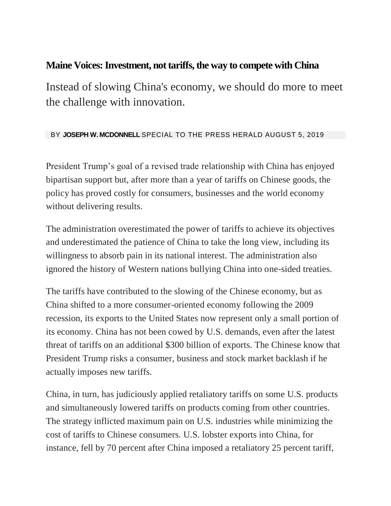## **Maine Voices: Investment, not tariffs, the way to compete with China**

Instead of slowing China's economy, we should do more to meet the challenge with innovation.

## BY **JOSEPH W. MCDONNELL** SPECIAL TO THE PRESS HERALD AUGUST 5, 2019

President Trump's goal of a revised trade relationship with China has enjoyed bipartisan support but, after more than a year of tariffs on Chinese goods, the policy has proved costly for consumers, businesses and the world economy without delivering results.

The administration overestimated the power of tariffs to achieve its objectives and underestimated the patience of China to take the long view, including its willingness to absorb pain in its national interest. The administration also ignored the history of Western nations bullying China into one-sided treaties.

The tariffs have contributed to the slowing of the Chinese economy, but as China shifted to a more consumer-oriented economy following the 2009 recession, its exports to the United States now represent only a small portion of its economy. China has not been cowed by U.S. demands, even after the latest threat of tariffs on an additional \$300 billion of exports. The Chinese know that President Trump risks a consumer, business and stock market backlash if he actually imposes new tariffs.

China, in turn, has judiciously applied retaliatory tariffs on some U.S. products and simultaneously lowered tariffs on products coming from other countries. The strategy inflicted maximum pain on U.S. industries while minimizing the cost of tariffs to Chinese consumers. U.S. lobster exports into China, for instance, fell by 70 percent after China imposed a retaliatory 25 percent tariff,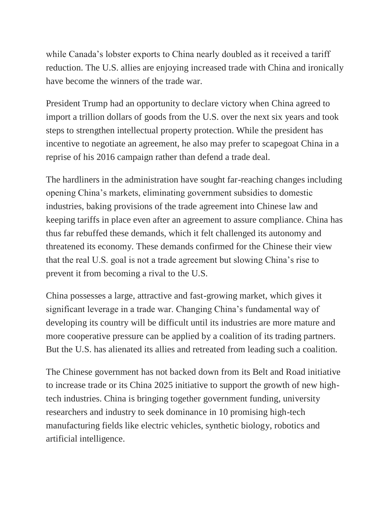while Canada's lobster exports to China nearly doubled as it received a tariff reduction. The U.S. allies are enjoying increased trade with China and ironically have become the winners of the trade war.

President Trump had an opportunity to declare victory when China agreed to import a trillion dollars of goods from the U.S. over the next six years and took steps to strengthen intellectual property protection. While the president has incentive to negotiate an agreement, he also may prefer to scapegoat China in a reprise of his 2016 campaign rather than defend a trade deal.

The hardliners in the administration have sought far-reaching changes including opening China's markets, eliminating government subsidies to domestic industries, baking provisions of the trade agreement into Chinese law and keeping tariffs in place even after an agreement to assure compliance. China has thus far rebuffed these demands, which it felt challenged its autonomy and threatened its economy. These demands confirmed for the Chinese their view that the real U.S. goal is not a trade agreement but slowing China's rise to prevent it from becoming a rival to the U.S.

China possesses a large, attractive and fast-growing market, which gives it significant leverage in a trade war. Changing China's fundamental way of developing its country will be difficult until its industries are more mature and more cooperative pressure can be applied by a coalition of its trading partners. But the U.S. has alienated its allies and retreated from leading such a coalition.

The Chinese government has not backed down from its Belt and Road initiative to increase trade or its China 2025 initiative to support the growth of new hightech industries. China is bringing together government funding, university researchers and industry to seek dominance in 10 promising high-tech manufacturing fields like electric vehicles, synthetic biology, robotics and artificial intelligence.